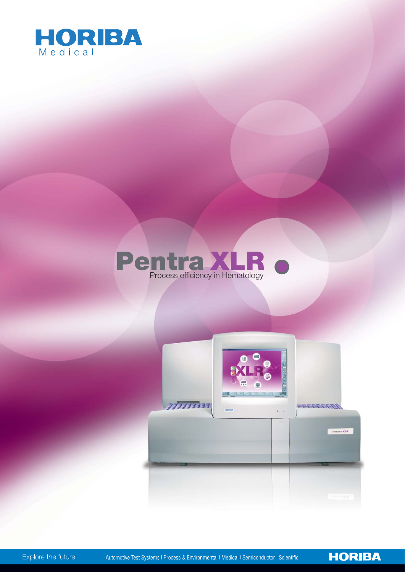





**HORIBA** 

Automotive Test Systems I Process & Environmental I Medical I Semiconductor I Scientific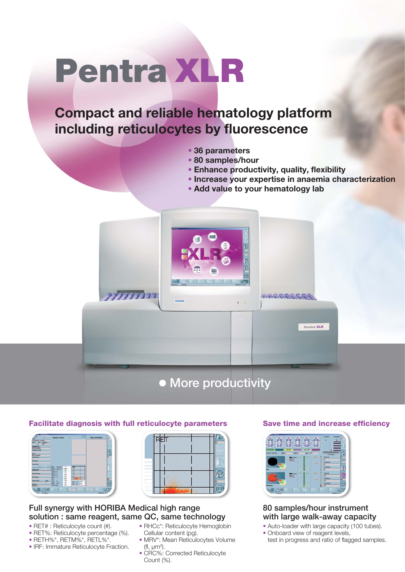# Pentra XLR

# **Compact and reliable hematology platform including reticulocytes by fluorescence**

- **• 36 parameters**
- **• 80 samples/hour**
- **• Enhance productivity, quality, flexibility**
- **• Increase your expertise in anaemia characterization**
- **• Add value to your hematology lab**



| $-167 -$                            | <b>Newber of France</b><br><b>DE</b>                    | $\triangleright$            | <b>Flags and Alarms</b> |    |
|-------------------------------------|---------------------------------------------------------|-----------------------------|-------------------------|----|
| 11/04/2013 13:48:59                 |                                                         |                             |                         |    |
| Fox., Tastes.<br><b>Darley</b><br>m |                                                         |                             |                         |    |
| <b>Sample ID</b>                    |                                                         |                             |                         |    |
| <b>IT WAS STRANGED</b>              |                                                         |                             |                         |    |
| Collection Date                     |                                                         |                             |                         |    |
|                                     |                                                         |                             |                         |    |
| Type<br><b>Rene Standard</b>        |                                                         |                             |                         |    |
| Department                          |                                                         |                             |                         |    |
|                                     |                                                         |                             |                         |    |
| <b>Physicing</b>                    |                                                         |                             |                         |    |
|                                     |                                                         |                             |                         |    |
| Comments<br>1911-002<br>×           |                                                         |                             |                         |    |
|                                     | 167<br>7<br>RBC 10 <sup>4</sup> hun <sup>3</sup>        | æ                           |                         |    |
| 5152<br>œ<br><b>Patient ID</b>      | <b>THE</b><br><b>RET# 10<sup>4</sup>hum<sup>2</sup></b> | ш                           |                         |    |
|                                     | 1.93<br>RETN N<br>77                                    |                             |                         |    |
| <b>Polant finns</b>                 | <b>RETH TO</b><br>is s                                  | ⊶                           |                         |    |
|                                     | <b>RETH N</b><br>787                                    |                             |                         |    |
| <b>First Name</b>                   | PETL N<br>120                                           | ш                           |                         |    |
| Date of Birth<br>Age                | <b>SHE</b><br>138                                       |                             |                         | œ  |
|                                     | CRO.<br>×<br>196                                        | 78.1<br>w                   |                         |    |
|                                     | MRV pm <sup>3</sup><br>X2<br><b>RHOC ps</b>             | 48<br>PC.                   |                         |    |
| <b>Littletown</b>                   |                                                         |                             |                         |    |
|                                     |                                                         |                             |                         | ৱৱ |
|                                     | Ю.                                                      | $= 31$ DMS<br><b>DIS SP</b> |                         |    |
| <b>Van</b><br>Technique             |                                                         |                             | <b>UNIVERSITY AND</b>   |    |



#### Full synergy with HORIBA Medical high range solution : same reagent, same QC, same technology

- RET# : Reticulocyte count (#).
- RET%: Reticulocyte percentage (%).
- RETH%\*, RETM%\*, RETL%\*.
- IRF: Immature Reticulocyte Fraction.
- RHCc\*: Reticulocyte Hemoglobin Cellular content (pg).
- MRV\*: Mean Reticulocytes Volume (fl,  $\mu m^3$ ).
- CRC%: Corrected Reticulocyte Count (%).

#### Save time and increase efficiency



80 samples/hour instrument with large walk-away capacity

- Auto-loader with large capacity (100 tubes).
- Onboard view of reagent levels, test in progress and ratio of flagged samples.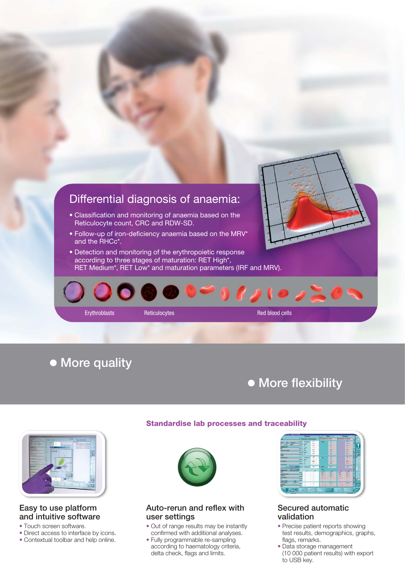

### • More quality

## • More flexibility



#### Easy to use platform and intuitive software

- Touch screen software.
- Direct access to interface by icons.
- Contextual toolbar and help online.



Standardise lab processes and traceability

#### Auto-rerun and reflex with user settings

- Out of range results may be instantly confirmed with additional analyses.
- Fully programmable re-sampling according to haematology criteria, delta check, flags and limits.



#### Secured automatic validation

- Precise patient reports showing test results, demographics, graphs, flags, remarks.
- Data storage management (10 000 patient results) with export to USB key.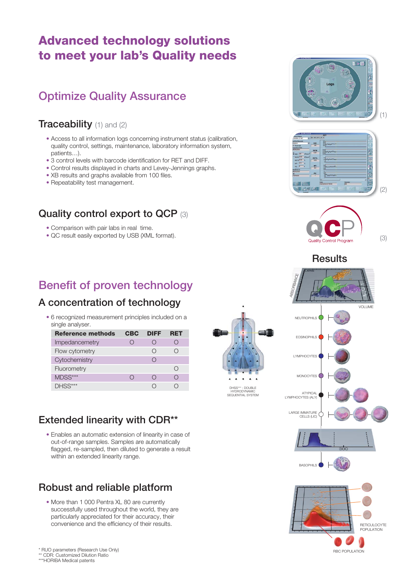### Advanced technology solutions to meet your lab's Quality needs

### Optimize Quality Assurance

### Traceability (1) and (2)

- Access to all information logs concerning instrument status (calibration, quality control, settings, maintenance, laboratory information system, patients…).
- 3 control levels with barcode identification for RET and DIFF.
- Control results displayed in charts and Levey-Jennings graphs.
- XB results and graphs available from 100 files.
- Repeatability test management.

### Quality control export to QCP (3)

- Comparison with pair labs in real time.
- QC result easily exported by USB (XML format).

### Benefit of proven technology

### A concentration of technology

• 6 recognized measurement principles included on a single analyser.

| <b>Reference methods</b> | <b>CBC</b> | DIFF   | <b>RET</b> |  |
|--------------------------|------------|--------|------------|--|
| Impedancemetry           |            | $\Box$ |            |  |
| Flow cytometry           |            | ( )    |            |  |
| Cytochemistry            |            |        |            |  |
| Fluorometry              |            |        | 〔 〕        |  |
| MDSS***                  |            |        |            |  |
|                          |            |        |            |  |

### Extended linearity with CDR\*\*

• Enables an automatic extension of linearity in case of out-of-range samples. Samples are automatically flagged, re-sampled, then diluted to generate a result within an extended linearity range.

### Robust and reliable platform

• More than 1 000 Pentra XL 80 are currently successfully used throughout the world, they are particularly appreciated for their accuracy, their convenience and the efficiency of their results.







(3)



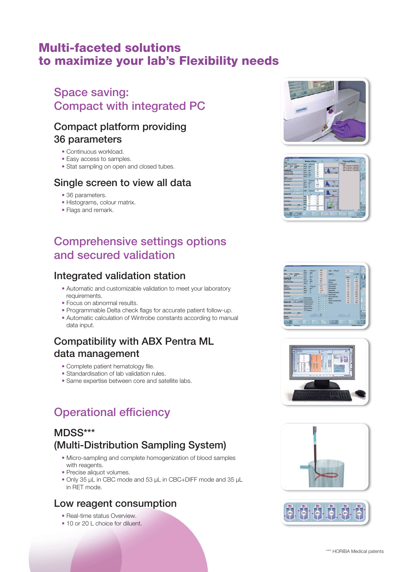### Multi-faceted solutions to maximize your lab's Flexibility needs

### Space saving: Compact with integrated PC

### Compact platform providing 36 parameters

- Continuous workload.
- Easy access to samples.
- Stat sampling on open and closed tubes.

### Single screen to view all data

- 36 parameters.
- Histograms, colour matrix.
- Flags and remark.

### Comprehensive settings options and secured validation

### Integrated validation station

- Automatic and customizable validation to meet your laboratory requirements.
- Focus on abnormal results.
- Programmable Delta check flags for accurate patient follow-up.
- Automatic calculation of Wintrobe constants according to manual data input.

### Compatibility with ABX Pentra ML data management

- Complete patient hematology file.
- Standardisation of lab validation rules.
- Same expertise between core and satellite labs.

## Operational efficiency

### MDSS\*\*\* (Multi-Distribution Sampling System)

- Micro-sampling and complete homogenization of blood samples with reagents.
- Precise aliquot volumes.
- Only 35 µL in CBC mode and 53 µL in CBC+DIFF mode and 35 µL in RET mode.

### Low reagent consumption

- Real-time status Overview
- 10 or 20 L choice for diluent.